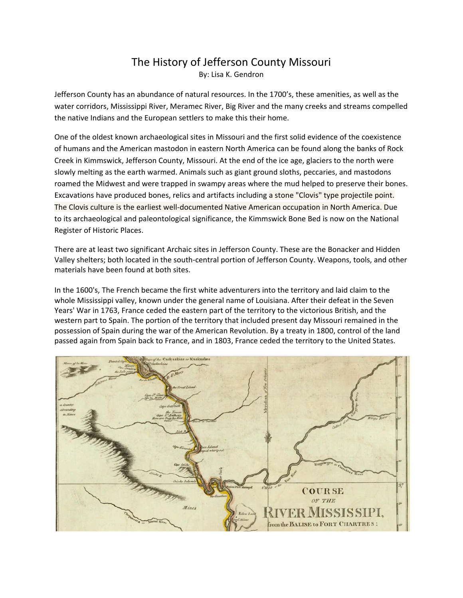## The History of Jefferson County Missouri By: Lisa K. Gendron

Jefferson County has an abundance of natural resources. In the 1700's, these amenities, as well as the water corridors, Mississippi River, Meramec River, Big River and the many creeks and streams compelled the native Indians and the European settlers to make this their home.

One of the oldest known archaeological sites in Missouri and the first solid evidence of the coexistence of humans and the American mastodon in eastern North America can be found along the banks of Rock Creek in Kimmswick, Jefferson County, Missouri. At the end of the ice age, glaciers to the north were slowly melting as the earth warmed. Animals such as giant ground sloths, peccaries, and mastodons roamed the Midwest and were trapped in swampy areas where the mud helped to preserve their bones. Excavations have produced bones, relics and artifacts including a stone "Clovis" type projectile point. The Clovis culture is the earliest well‐documented Native American occupation in North America. Due to its archaeological and paleontological significance, the Kimmswick Bone Bed is now on the National Register of Historic Places.

There are at least two significant Archaic sites in Jefferson County. These are the Bonacker and Hidden Valley shelters; both located in the south‐central portion of Jefferson County. Weapons, tools, and other materials have been found at both sites.

In the 1600's, The French became the first white adventurers into the territory and laid claim to the whole Mississippi valley, known under the general name of Louisiana. After their defeat in the Seven Years' War in 1763, France ceded the eastern part of the territory to the victorious British, and the western part to Spain. The portion of the territory that included present day Missouri remained in the possession of Spain during the war of the American Revolution. By a treaty in 1800, control of the land passed again from Spain back to France, and in 1803, France ceded the territory to the United States.

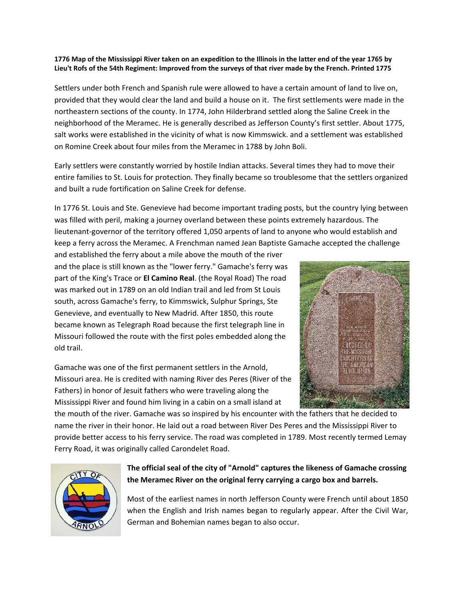## **1776 Map of the Mississippi River taken on an expedition to the Illinois in the latter end of the year 1765 by Lieu't Rofs of the 54th Regiment: Improved from the surveys of that river made by the French. Printed 1775**

Settlers under both French and Spanish rule were allowed to have a certain amount of land to live on, provided that they would clear the land and build a house on it. The first settlements were made in the northeastern sections of the county. In 1774, John Hilderbrand settled along the Saline Creek in the neighborhood of the Meramec. He is generally described as Jefferson County's first settler. About 1775, salt works were established in the vicinity of what is now Kimmswick. and a settlement was established on Romine Creek about four miles from the Meramec in 1788 by John Boli.

Early settlers were constantly worried by hostile Indian attacks. Several times they had to move their entire families to St. Louis for protection. They finally became so troublesome that the settlers organized and built a rude fortification on Saline Creek for defense.

In 1776 St. Louis and Ste. Genevieve had become important trading posts, but the country lying between was filled with peril, making a journey overland between these points extremely hazardous. The lieutenant‐governor of the territory offered 1,050 arpents of land to anyone who would establish and keep a ferry across the Meramec. A Frenchman named Jean Baptiste Gamache accepted the challenge

and established the ferry about a mile above the mouth of the river and the place is still known as the "lower ferry." Gamache's ferry was part of the King's Trace or **El Camino Real**. (the Royal Road) The road was marked out in 1789 on an old Indian trail and led from St Louis south, across Gamache's ferry, to Kimmswick, Sulphur Springs, Ste Genevieve, and eventually to New Madrid. After 1850, this route became known as Telegraph Road because the first telegraph line in Missouri followed the route with the first poles embedded along the old trail.

Gamache was one of the first permanent settlers in the Arnold, Missouri area. He is credited with naming River des Peres (River of the Fathers) in honor of Jesuit fathers who were traveling along the Mississippi River and found him living in a cabin on a small island at



the mouth of the river. Gamache was so inspired by his encounter with the fathers that he decided to name the river in their honor. He laid out a road between River Des Peres and the Mississippi River to provide better access to his ferry service. The road was completed in 1789. Most recently termed Lemay Ferry Road, it was originally called Carondelet Road.



## **The official seal of the city of "Arnold" captures the likeness of Gamache crossing the Meramec River on the original ferry carrying a cargo box and barrels.**

Most of the earliest names in north Jefferson County were French until about 1850 when the English and Irish names began to regularly appear. After the Civil War, German and Bohemian names began to also occur.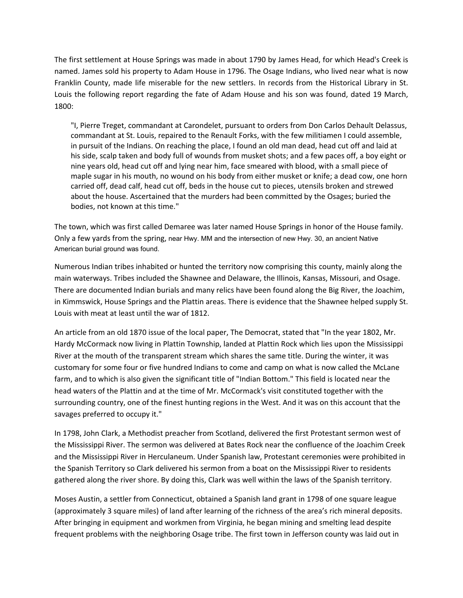The first settlement at House Springs was made in about 1790 by James Head, for which Head's Creek is named. James sold his property to Adam House in 1796. The Osage Indians, who lived near what is now Franklin County, made life miserable for the new settlers. In records from the Historical Library in St. Louis the following report regarding the fate of Adam House and his son was found, dated 19 March, 1800:

"I, Pierre Treget, commandant at Carondelet, pursuant to orders from Don Carlos Dehault Delassus, commandant at St. Louis, repaired to the Renault Forks, with the few militiamen I could assemble, in pursuit of the Indians. On reaching the place, I found an old man dead, head cut off and laid at his side, scalp taken and body full of wounds from musket shots; and a few paces off, a boy eight or nine years old, head cut off and lying near him, face smeared with blood, with a small piece of maple sugar in his mouth, no wound on his body from either musket or knife; a dead cow, one horn carried off, dead calf, head cut off, beds in the house cut to pieces, utensils broken and strewed about the house. Ascertained that the murders had been committed by the Osages; buried the bodies, not known at this time."

The town, which was first called Demaree was later named House Springs in honor of the House family. Only a few yards from the spring, near Hwy. MM and the intersection of new Hwy. 30, an ancient Native American burial ground was found.

Numerous Indian tribes inhabited or hunted the territory now comprising this county, mainly along the main waterways. Tribes included the Shawnee and Delaware, the Illinois, Kansas, Missouri, and Osage. There are documented Indian burials and many relics have been found along the Big River, the Joachim, in Kimmswick, House Springs and the Plattin areas. There is evidence that the Shawnee helped supply St. Louis with meat at least until the war of 1812.

An article from an old 1870 issue of the local paper, The Democrat, stated that "In the year 1802, Mr. Hardy McCormack now living in Plattin Township, landed at Plattin Rock which lies upon the Mississippi River at the mouth of the transparent stream which shares the same title. During the winter, it was customary for some four or five hundred Indians to come and camp on what is now called the McLane farm, and to which is also given the significant title of "Indian Bottom." This field is located near the head waters of the Plattin and at the time of Mr. McCormack's visit constituted together with the surrounding country, one of the finest hunting regions in the West. And it was on this account that the savages preferred to occupy it."

In 1798, John Clark, a Methodist preacher from Scotland, delivered the first Protestant sermon west of the Mississippi River. The sermon was delivered at Bates Rock near the confluence of the Joachim Creek and the Mississippi River in Herculaneum. Under Spanish law, Protestant ceremonies were prohibited in the Spanish Territory so Clark delivered his sermon from a boat on the Mississippi River to residents gathered along the river shore. By doing this, Clark was well within the laws of the Spanish territory.

Moses Austin, a settler from Connecticut, obtained a Spanish land grant in 1798 of one square league (approximately 3 square miles) of land after learning of the richness of the area's rich mineral deposits. After bringing in equipment and workmen from Virginia, he began mining and smelting lead despite frequent problems with the neighboring Osage tribe. The first town in Jefferson county was laid out in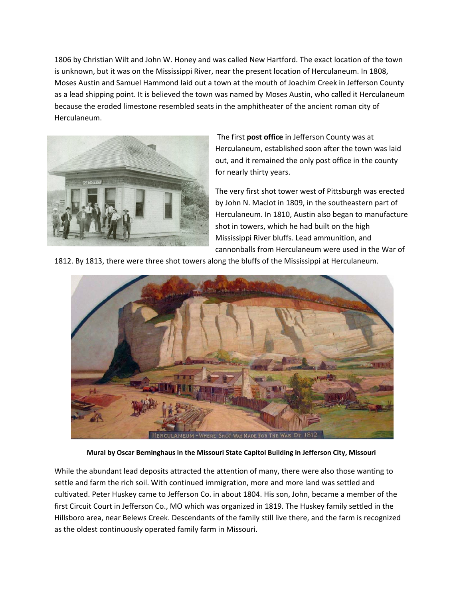1806 by Christian Wilt and John W. Honey and was called New Hartford. The exact location of the town is unknown, but it was on the Mississippi River, near the present location of Herculaneum. In 1808, Moses Austin and Samuel Hammond laid out a town at the mouth of Joachim Creek in Jefferson County as a lead shipping point. It is believed the town was named by Moses Austin, who called it Herculaneum because the eroded limestone resembled seats in the amphitheater of the ancient roman city of Herculaneum.



 The first **post office** in Jefferson County was at Herculaneum, established soon after the town was laid out, and it remained the only post office in the county for nearly thirty years.

The very first shot tower west of Pittsburgh was erected by John N. Maclot in 1809, in the southeastern part of Herculaneum. In 1810, Austin also began to manufacture shot in towers, which he had built on the high Mississippi River bluffs. Lead ammunition, and cannonballs from Herculaneum were used in the War of

1812. By 1813, there were three shot towers along the bluffs of the Mississippi at Herculaneum.



**Mural by Oscar Berninghaus in the Missouri State Capitol Building in Jefferson City, Missouri** 

While the abundant lead deposits attracted the attention of many, there were also those wanting to settle and farm the rich soil. With continued immigration, more and more land was settled and cultivated. Peter Huskey came to Jefferson Co. in about 1804. His son, John, became a member of the first Circuit Court in Jefferson Co., MO which was organized in 1819. The Huskey family settled in the Hillsboro area, near Belews Creek. Descendants of the family still live there, and the farm is recognized as the oldest continuously operated family farm in Missouri.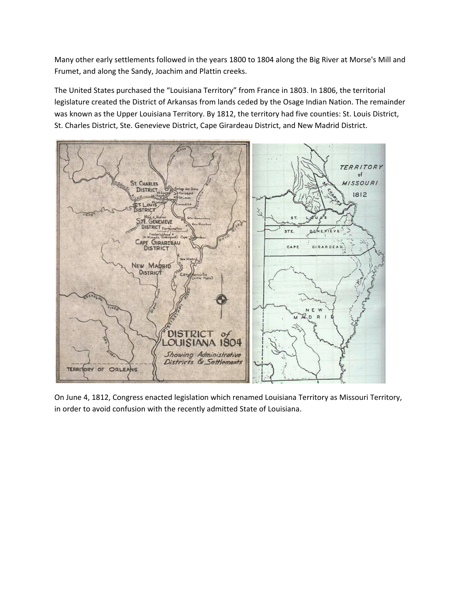Many other early settlements followed in the years 1800 to 1804 along the Big River at Morse's Mill and Frumet, and along the Sandy, Joachim and Plattin creeks.

The United States purchased the "Louisiana Territory" from France in 1803. In 1806, the territorial legislature created the District of Arkansas from lands ceded by the Osage Indian Nation. The remainder was known as the Upper Louisiana Territory. By 1812, the territory had five counties: St. Louis District, St. Charles District, Ste. Genevieve District, Cape Girardeau District, and New Madrid District.



On June 4, 1812, Congress enacted legislation which renamed Louisiana Territory as Missouri Territory, in order to avoid confusion with the recently admitted State of Louisiana.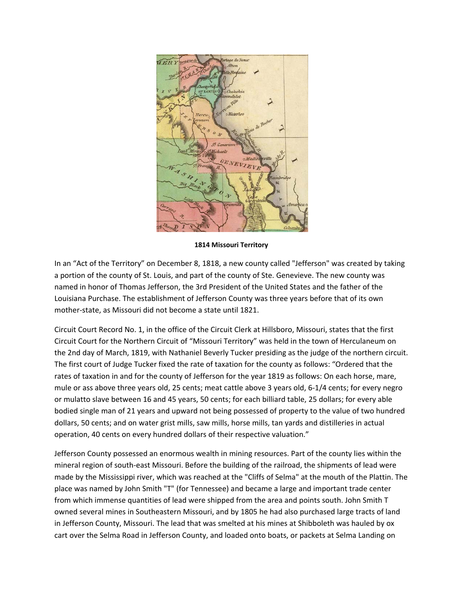

**1814 Missouri Territory**

In an "Act of the Territory" on December 8, 1818, a new county called "Jefferson" was created by taking a portion of the county of St. Louis, and part of the county of Ste. Genevieve. The new county was named in honor of Thomas Jefferson, the 3rd President of the United States and the father of the Louisiana Purchase. The establishment of Jefferson County was three years before that of its own mother‐state, as Missouri did not become a state until 1821.

Circuit Court Record No. 1, in the office of the Circuit Clerk at Hillsboro, Missouri, states that the first Circuit Court for the Northern Circuit of "Missouri Territory" was held in the town of Herculaneum on the 2nd day of March, 1819, with Nathaniel Beverly Tucker presiding as the judge of the northern circuit. The first court of Judge Tucker fixed the rate of taxation for the county as follows: "Ordered that the rates of taxation in and for the county of Jefferson for the year 1819 as follows: On each horse, mare, mule or ass above three years old, 25 cents; meat cattle above 3 years old, 6‐1/4 cents; for every negro or mulatto slave between 16 and 45 years, 50 cents; for each billiard table, 25 dollars; for every able bodied single man of 21 years and upward not being possessed of property to the value of two hundred dollars, 50 cents; and on water grist mills, saw mills, horse mills, tan yards and distilleries in actual operation, 40 cents on every hundred dollars of their respective valuation."

Jefferson County possessed an enormous wealth in mining resources. Part of the county lies within the mineral region of south‐east Missouri. Before the building of the railroad, the shipments of lead were made by the Mississippi river, which was reached at the "Cliffs of Selma" at the mouth of the Plattin. The place was named by John Smith "T" (for Tennessee) and became a large and important trade center from which immense quantities of lead were shipped from the area and points south. John Smith T owned several mines in Southeastern Missouri, and by 1805 he had also purchased large tracts of land in Jefferson County, Missouri. The lead that was smelted at his mines at Shibboleth was hauled by ox cart over the Selma Road in Jefferson County, and loaded onto boats, or packets at Selma Landing on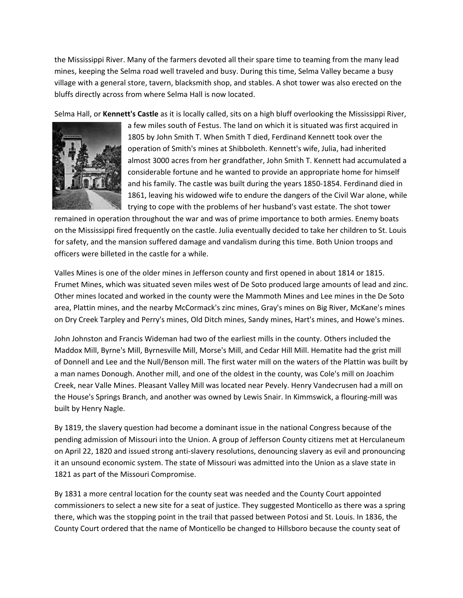the Mississippi River. Many of the farmers devoted all their spare time to teaming from the many lead mines, keeping the Selma road well traveled and busy. During this time, Selma Valley became a busy village with a general store, tavern, blacksmith shop, and stables. A shot tower was also erected on the bluffs directly across from where Selma Hall is now located.

Selma Hall, or **Kennett's Castle** as it is locally called, sits on a high bluff overlooking the Mississippi River,



a few miles south of Festus. The land on which it is situated was first acquired in 1805 by John Smith T. When Smith T died, Ferdinand Kennett took over the operation of Smith's mines at Shibboleth. Kennett's wife, Julia, had inherited almost 3000 acres from her grandfather, John Smith T. Kennett had accumulated a considerable fortune and he wanted to provide an appropriate home for himself and his family. The castle was built during the years 1850-1854. Ferdinand died in 1861, leaving his widowed wife to endure the dangers of the Civil War alone, while trying to cope with the problems of her husband's vast estate. The shot tower

remained in operation throughout the war and was of prime importance to both armies. Enemy boats on the Mississippi fired frequently on the castle. Julia eventually decided to take her children to St. Louis for safety, and the mansion suffered damage and vandalism during this time. Both Union troops and officers were billeted in the castle for a while.

Valles Mines is one of the older mines in Jefferson county and first opened in about 1814 or 1815. Frumet Mines, which was situated seven miles west of De Soto produced large amounts of lead and zinc. Other mines located and worked in the county were the Mammoth Mines and Lee mines in the De Soto area, Plattin mines, and the nearby McCormack's zinc mines, Gray's mines on Big River, McKane's mines on Dry Creek Tarpley and Perry's mines, Old Ditch mines, Sandy mines, Hart's mines, and Howe's mines.

John Johnston and Francis Wideman had two of the earliest mills in the county. Others included the Maddox Mill, Byrne's Mill, Byrnesville Mill, Morse's Mill, and Cedar Hill Mill. Hematite had the grist mill of Donnell and Lee and the Null/Benson mill. The first water mill on the waters of the Plattin was built by a man names Donough. Another mill, and one of the oldest in the county, was Cole's mill on Joachim Creek, near Valle Mines. Pleasant Valley Mill was located near Pevely. Henry Vandecrusen had a mill on the House's Springs Branch, and another was owned by Lewis Snair. In Kimmswick, a flouring-mill was built by Henry Nagle.

By 1819, the slavery question had become a dominant issue in the national Congress because of the pending admission of Missouri into the Union. A group of Jefferson County citizens met at Herculaneum on April 22, 1820 and issued strong anti‐slavery resolutions, denouncing slavery as evil and pronouncing it an unsound economic system. The state of Missouri was admitted into the Union as a slave state in 1821 as part of the Missouri Compromise.

By 1831 a more central location for the county seat was needed and the County Court appointed commissioners to select a new site for a seat of justice. They suggested Monticello as there was a spring there, which was the stopping point in the trail that passed between Potosi and St. Louis. In 1836, the County Court ordered that the name of Monticello be changed to Hillsboro because the county seat of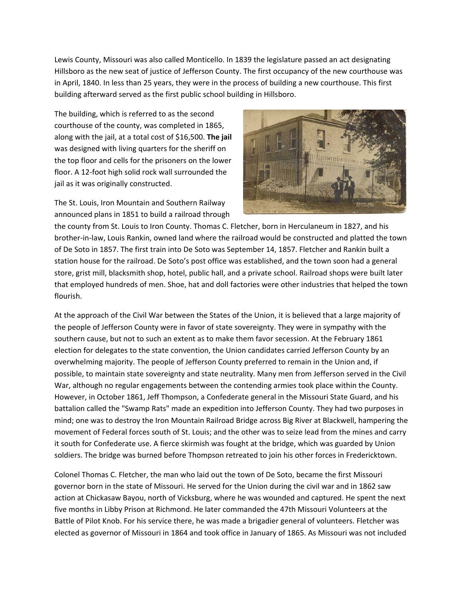Lewis County, Missouri was also called Monticello. In 1839 the legislature passed an act designating Hillsboro as the new seat of justice of Jefferson County. The first occupancy of the new courthouse was in April, 1840. In less than 25 years, they were in the process of building a new courthouse. This first building afterward served as the first public school building in Hillsboro.

The building, which is referred to as the second courthouse of the county, was completed in 1865, along with the jail, at a total cost of \$16,500. **The jail** was designed with living quarters for the sheriff on the top floor and cells for the prisoners on the lower floor. A 12‐foot high solid rock wall surrounded the jail as it was originally constructed.

The St. Louis, Iron Mountain and Southern Railway announced plans in 1851 to build a railroad through



the county from St. Louis to Iron County. Thomas C. Fletcher, born in Herculaneum in 1827, and his brother‐in‐law, Louis Rankin, owned land where the railroad would be constructed and platted the town of De Soto in 1857. The first train into De Soto was September 14, 1857. Fletcher and Rankin built a station house for the railroad. De Soto's post office was established, and the town soon had a general store, grist mill, blacksmith shop, hotel, public hall, and a private school. Railroad shops were built later that employed hundreds of men. Shoe, hat and doll factories were other industries that helped the town flourish.

At the approach of the Civil War between the States of the Union, it is believed that a large majority of the people of Jefferson County were in favor of state sovereignty. They were in sympathy with the southern cause, but not to such an extent as to make them favor secession. At the February 1861 election for delegates to the state convention, the Union candidates carried Jefferson County by an overwhelming majority. The people of Jefferson County preferred to remain in the Union and, if possible, to maintain state sovereignty and state neutrality. Many men from Jefferson served in the Civil War, although no regular engagements between the contending armies took place within the County. However, in October 1861, Jeff Thompson, a Confederate general in the Missouri State Guard, and his battalion called the "Swamp Rats" made an expedition into Jefferson County. They had two purposes in mind; one was to destroy the Iron Mountain Railroad Bridge across Big River at Blackwell, hampering the movement of Federal forces south of St. Louis; and the other was to seize lead from the mines and carry it south for Confederate use. A fierce skirmish was fought at the bridge, which was guarded by Union soldiers. The bridge was burned before Thompson retreated to join his other forces in Fredericktown.

Colonel Thomas C. Fletcher, the man who laid out the town of De Soto, became the first Missouri governor born in the state of Missouri. He served for the Union during the civil war and in 1862 saw action at Chickasaw Bayou, north of Vicksburg, where he was wounded and captured. He spent the next five months in Libby Prison at Richmond. He later commanded the 47th Missouri Volunteers at the Battle of Pilot Knob. For his service there, he was made a brigadier general of volunteers. Fletcher was elected as governor of Missouri in 1864 and took office in January of 1865. As Missouri was not included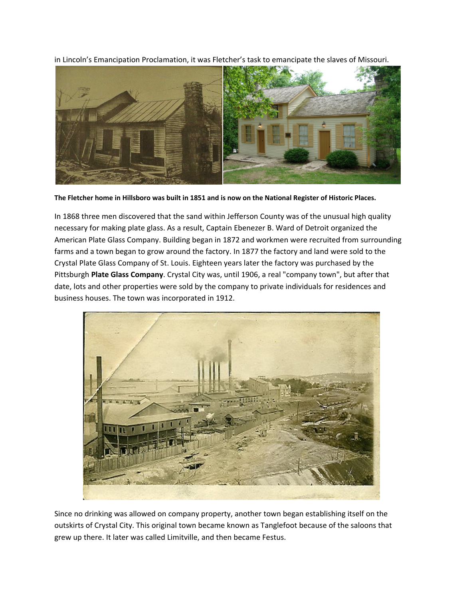in Lincoln's Emancipation Proclamation, it was Fletcher's task to emancipate the slaves of Missouri.



**The Fletcher home in Hillsboro was built in 1851 and is now on the National Register of Historic Places.** 

In 1868 three men discovered that the sand within Jefferson County was of the unusual high quality necessary for making plate glass. As a result, Captain Ebenezer B. Ward of Detroit organized the American Plate Glass Company. Building began in 1872 and workmen were recruited from surrounding farms and a town began to grow around the factory. In 1877 the factory and land were sold to the Crystal Plate Glass Company of St. Louis. Eighteen years later the factory was purchased by the Pittsburgh **Plate Glass Company**. Crystal City was, until 1906, a real "company town", but after that date, lots and other properties were sold by the company to private individuals for residences and business houses. The town was incorporated in 1912.



Since no drinking was allowed on company property, another town began establishing itself on the outskirts of Crystal City. This original town became known as Tanglefoot because of the saloons that grew up there. It later was called Limitville, and then became Festus.